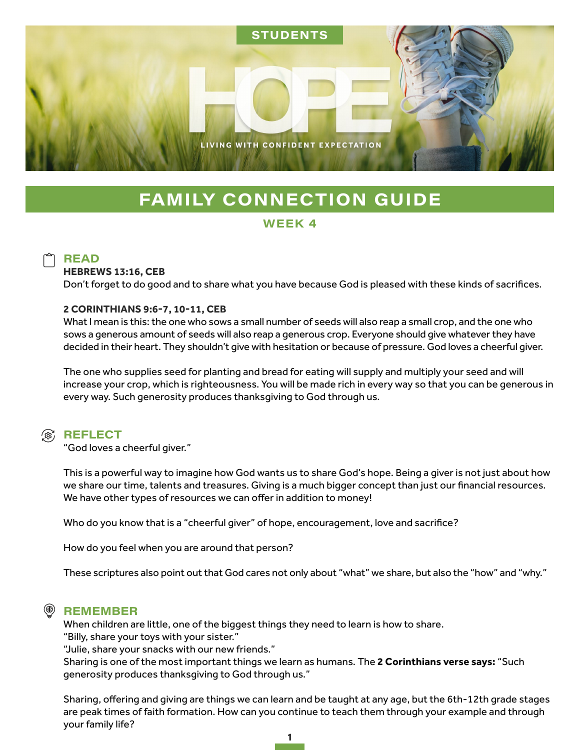

# **FAMILY CONNECTION GUIDE**

## WEEK 4

# **READ**

#### **HEBREWS 13:16, CEB**

Don't forget to do good and to share what you have because God is pleased with these kinds of sacrifices.

#### **2 CORINTHIANS 9:6-7, 10-11, CEB**

What I mean is this: the one who sows a small number of seeds will also reap a small crop, and the one who sows a generous amount of seeds will also reap a generous crop. Everyone should give whatever they have decided in their heart. They shouldn't give with hesitation or because of pressure. God loves a cheerful giver.

The one who supplies seed for planting and bread for eating will supply and multiply your seed and will increase your crop, which is righteousness. You will be made rich in every way so that you can be generous in every way. Such generosity produces thanksgiving to God through us.

### (@) REFLECT

"God loves a cheerful giver."

This is a powerful way to imagine how God wants us to share God's hope. Being a giver is not just about how we share our time, talents and treasures. Giving is a much bigger concept than just our financial resources. We have other types of resources we can offer in addition to money!

Who do you know that is a "cheerful giver" of hope, encouragement, love and sacrifice?

How do you feel when you are around that person?

These scriptures also point out that God cares not only about "what" we share, but also the "how" and "why."

# **REMEMBER**

When children are little, one of the biggest things they need to learn is how to share. "Billy, share your toys with your sister."

"Julie, share your snacks with our new friends."

Sharing is one of the most important things we learn as humans. The **2 Corinthians verse says:** "Such generosity produces thanksgiving to God through us."

Sharing, offering and giving are things we can learn and be taught at any age, but the 6th-12th grade stages are peak times of faith formation. How can you continue to teach them through your example and through your family life?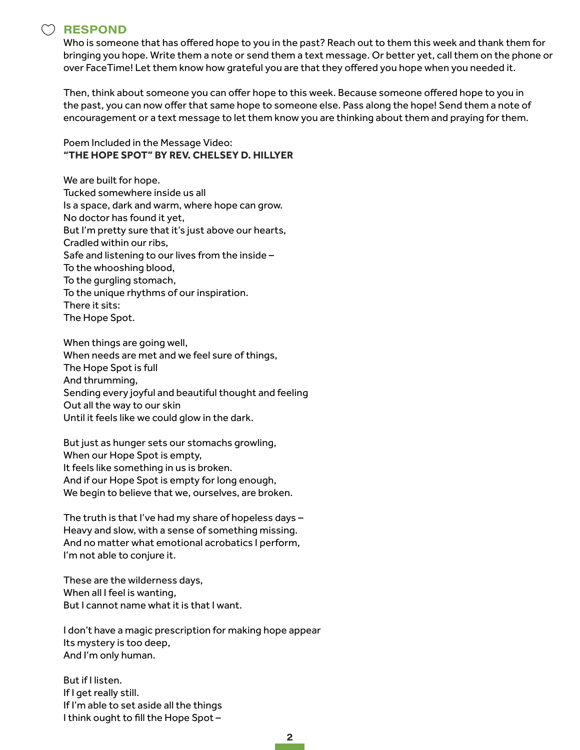## )RESPOND

Who is someone that has offered hope to you in the past? Reach out to them this week and thank them for bringing you hope. Write them a note or send them a text message. Or better yet, call them on the phone or over FaceTime! Let them know how grateful you are that they offered you hope when you needed it.

Then, think about someone you can offer hope to this week. Because someone offered hope to you in the past, you can now offer that same hope to someone else. Pass along the hope! Send them a note of encouragement or a text message to let them know you are thinking about them and praying for them.

Poem Included in the Message Video: **"THE HOPE SPOT" BY REV. CHELSEY D. HILLYER**

We are built for hope. Tucked somewhere inside us all Is a space, dark and warm, where hope can grow. No doctor has found it yet, But I'm pretty sure that it's just above our hearts, Cradled within our ribs, Safe and listening to our lives from the inside – To the whooshing blood, To the gurgling stomach, To the unique rhythms of our inspiration. There it sits: The Hope Spot.

When things are going well, When needs are met and we feel sure of things, The Hope Spot is full And thrumming, Sending every joyful and beautiful thought and feeling Out all the way to our skin Until it feels like we could glow in the dark.

But just as hunger sets our stomachs growling, When our Hope Spot is empty, It feels like something in us is broken. And if our Hope Spot is empty for long enough, We begin to believe that we, ourselves, are broken.

The truth is that I've had my share of hopeless days – Heavy and slow, with a sense of something missing. And no matter what emotional acrobatics I perform, I'm not able to conjure it.

These are the wilderness days, When all I feel is wanting, But I cannot name what it is that I want.

I don't have a magic prescription for making hope appear Its mystery is too deep, And I'm only human.

But if I listen. If I get really still. If I'm able to set aside all the things I think ought to fill the Hope Spot –